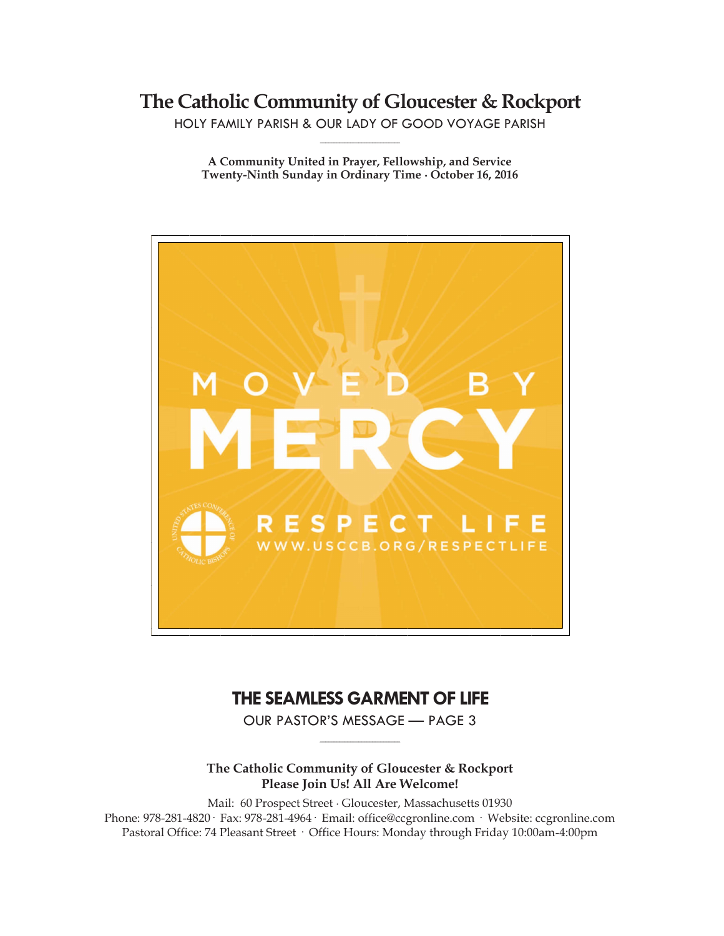**The Catholic Community of Gloucester & Rockport**

HOLY FAMILY PARISH & OUR LADY OF GOOD VOYAGE PARISH **\_\_\_\_\_\_\_\_\_\_\_\_\_\_\_\_\_\_\_\_\_\_\_\_\_\_\_\_\_**

**A Community United in Prayer, Fellowship, and Service Twenty-Ninth Sunday in Ordinary Time ∙ October 16, 2016**



# **THE SEAMLESS GARMENT OF LIFE**

OUR PASTOR'S MESSAGE — PAGE 3 **\_\_\_\_\_\_\_\_\_\_\_\_\_\_\_\_\_\_\_\_\_\_\_\_\_\_\_\_\_**

### **The Catholic Community of Gloucester & Rockport Please Join Us! All Are Welcome!**

Mail: 60 Prospect Street ∙ Gloucester, Massachusetts 01930 Phone: 978-281-4820· Fax: 978-281-4964· Email: office@ccgronline.com · Website: ccgronline.com Pastoral Office: 74 Pleasant Street · Office Hours: Monday through Friday 10:00am-4:00pm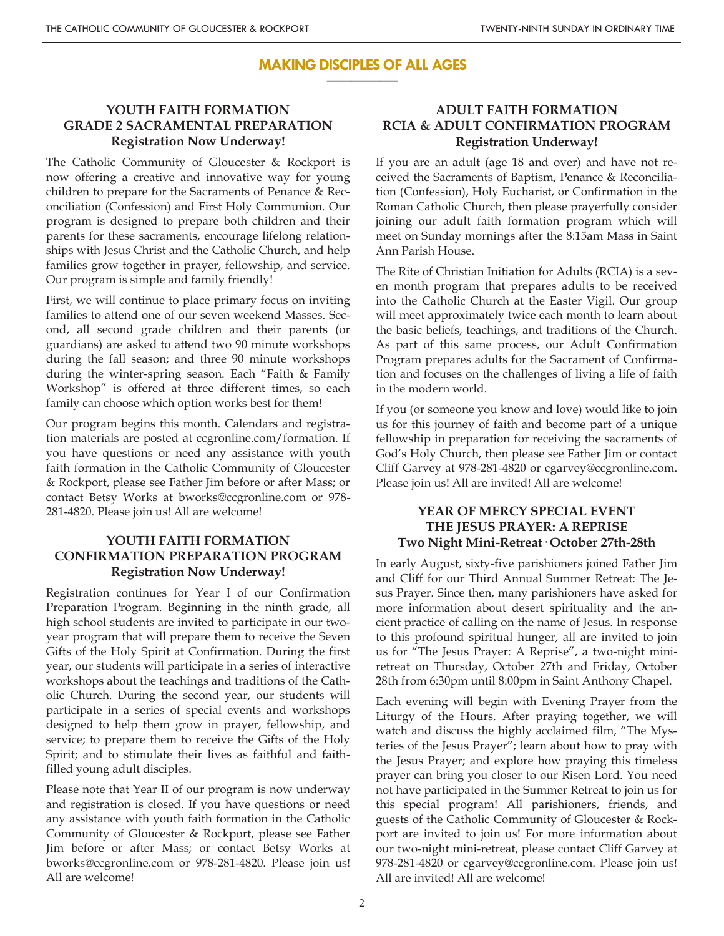#### **MAKING DISCIPLES OF ALL AGES \_\_\_\_\_\_\_\_\_\_\_\_\_\_\_\_\_\_\_\_**

## **YOUTH FAITH FORMATION GRADE 2 SACRAMENTAL PREPARATION Registration Now Underway!**

The Catholic Community of Gloucester & Rockport is now offering a creative and innovative way for young children to prepare for the Sacraments of Penance & Reconciliation (Confession) and First Holy Communion. Our program is designed to prepare both children and their parents for these sacraments, encourage lifelong relationships with Jesus Christ and the Catholic Church, and help families grow together in prayer, fellowship, and service. Our program is simple and family friendly!

First, we will continue to place primary focus on inviting families to attend one of our seven weekend Masses. Second, all second grade children and their parents (or guardians) are asked to attend two 90 minute workshops during the fall season; and three 90 minute workshops during the winter-spring season. Each "Faith & Family Workshop" is offered at three different times, so each family can choose which option works best for them!

Our program begins this month. Calendars and registration materials are posted at ccgronline.com/formation. If you have questions or need any assistance with youth faith formation in the Catholic Community of Gloucester & Rockport, please see Father Jim before or after Mass; or contact Betsy Works at bworks@ccgronline.com or 978- 281-4820. Please join us! All are welcome!

## **YOUTH FAITH FORMATION CONFIRMATION PREPARATION PROGRAM Registration Now Underway!**

Registration continues for Year I of our Confirmation Preparation Program. Beginning in the ninth grade, all high school students are invited to participate in our twoyear program that will prepare them to receive the Seven Gifts of the Holy Spirit at Confirmation. During the first year, our students will participate in a series of interactive workshops about the teachings and traditions of the Catholic Church. During the second year, our students will participate in a series of special events and workshops designed to help them grow in prayer, fellowship, and service; to prepare them to receive the Gifts of the Holy Spirit; and to stimulate their lives as faithful and faithfilled young adult disciples.

Please note that Year II of our program is now underway and registration is closed. If you have questions or need any assistance with youth faith formation in the Catholic Community of Gloucester & Rockport, please see Father Jim before or after Mass; or contact Betsy Works at bworks@ccgronline.com or 978-281-4820. Please join us! All are welcome!

# **ADULT FAITH FORMATION RCIA & ADULT CONFIRMATION PROGRAM Registration Underway!**

If you are an adult (age 18 and over) and have not received the Sacraments of Baptism, Penance & Reconciliation (Confession), Holy Eucharist, or Confirmation in the Roman Catholic Church, then please prayerfully consider joining our adult faith formation program which will meet on Sunday mornings after the 8:15am Mass in Saint Ann Parish House.

The Rite of Christian Initiation for Adults (RCIA) is a seven month program that prepares adults to be received into the Catholic Church at the Easter Vigil. Our group will meet approximately twice each month to learn about the basic beliefs, teachings, and traditions of the Church. As part of this same process, our Adult Confirmation Program prepares adults for the Sacrament of Confirmation and focuses on the challenges of living a life of faith in the modern world.

If you (or someone you know and love) would like to join us for this journey of faith and become part of a unique fellowship in preparation for receiving the sacraments of God's Holy Church, then please see Father Jim or contact Cliff Garvey at 978-281-4820 or cgarvey@ccgronline.com. Please join us! All are invited! All are welcome!

### **YEAR OF MERCY SPECIAL EVENT THE JESUS PRAYER: A REPRISE Two Night Mini-Retreat· October 27th-28th**

In early August, sixty-five parishioners joined Father Jim and Cliff for our Third Annual Summer Retreat: The Jesus Prayer. Since then, many parishioners have asked for more information about desert spirituality and the ancient practice of calling on the name of Jesus. In response to this profound spiritual hunger, all are invited to join us for "The Jesus Prayer: A Reprise", a two-night miniretreat on Thursday, October 27th and Friday, October 28th from 6:30pm until 8:00pm in Saint Anthony Chapel.

Each evening will begin with Evening Prayer from the Liturgy of the Hours. After praying together, we will watch and discuss the highly acclaimed film, "The Mysteries of the Jesus Prayer"; learn about how to pray with the Jesus Prayer; and explore how praying this timeless prayer can bring you closer to our Risen Lord. You need not have participated in the Summer Retreat to join us for this special program! All parishioners, friends, and guests of the Catholic Community of Gloucester & Rockport are invited to join us! For more information about our two-night mini-retreat, please contact Cliff Garvey at 978-281-4820 or cgarvey@ccgronline.com. Please join us! All are invited! All are welcome!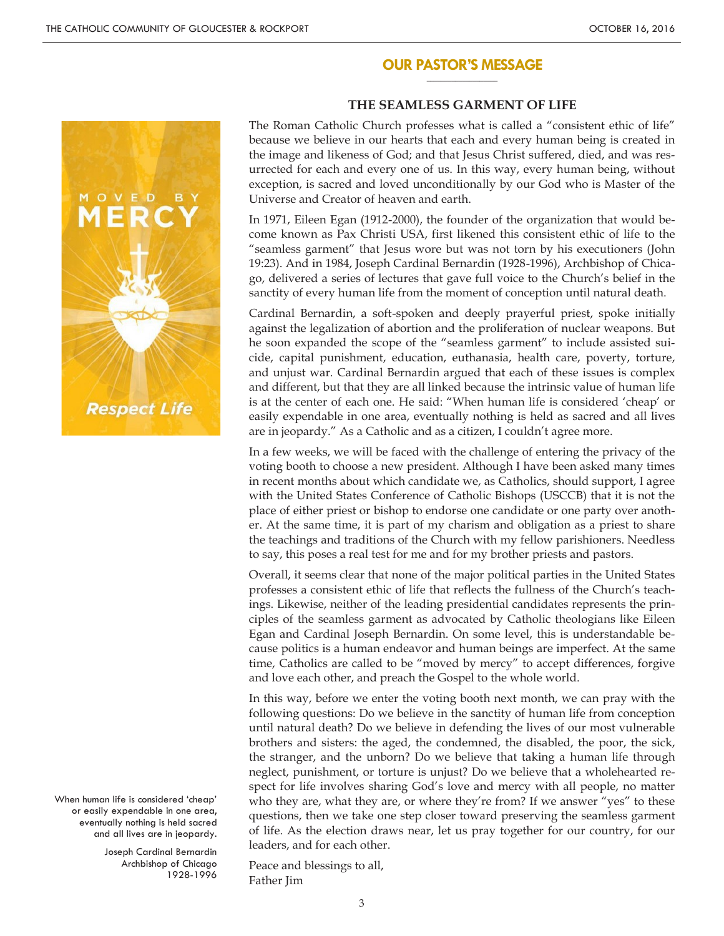#### **OUR PASTOR'S MESSAGE \_\_\_\_\_\_\_\_\_\_\_\_\_\_\_\_\_\_\_\_**



When human life is considered 'cheap' or easily expendable in one area, eventually nothing is held sacred and all lives are in jeopardy.

> Joseph Cardinal Bernardin Archbishop of Chicago 1928-1996

### **THE SEAMLESS GARMENT OF LIFE**

The Roman Catholic Church professes what is called a "consistent ethic of life" because we believe in our hearts that each and every human being is created in the image and likeness of God; and that Jesus Christ suffered, died, and was resurrected for each and every one of us. In this way, every human being, without exception, is sacred and loved unconditionally by our God who is Master of the Universe and Creator of heaven and earth.

In 1971, Eileen Egan (1912-2000), the founder of the organization that would become known as Pax Christi USA, first likened this consistent ethic of life to the "seamless garment" that Jesus wore but was not torn by his executioners (John 19:23). And in 1984, Joseph Cardinal Bernardin (1928-1996), Archbishop of Chicago, delivered a series of lectures that gave full voice to the Church's belief in the sanctity of every human life from the moment of conception until natural death.

Cardinal Bernardin, a soft-spoken and deeply prayerful priest, spoke initially against the legalization of abortion and the proliferation of nuclear weapons. But he soon expanded the scope of the "seamless garment" to include assisted suicide, capital punishment, education, euthanasia, health care, poverty, torture, and unjust war. Cardinal Bernardin argued that each of these issues is complex and different, but that they are all linked because the intrinsic value of human life is at the center of each one. He said: "When human life is considered 'cheap' or easily expendable in one area, eventually nothing is held as sacred and all lives are in jeopardy." As a Catholic and as a citizen, I couldn't agree more.

In a few weeks, we will be faced with the challenge of entering the privacy of the voting booth to choose a new president. Although I have been asked many times in recent months about which candidate we, as Catholics, should support, I agree with the United States Conference of Catholic Bishops (USCCB) that it is not the place of either priest or bishop to endorse one candidate or one party over another. At the same time, it is part of my charism and obligation as a priest to share the teachings and traditions of the Church with my fellow parishioners. Needless to say, this poses a real test for me and for my brother priests and pastors.

Overall, it seems clear that none of the major political parties in the United States professes a consistent ethic of life that reflects the fullness of the Church's teachings. Likewise, neither of the leading presidential candidates represents the principles of the seamless garment as advocated by Catholic theologians like Eileen Egan and Cardinal Joseph Bernardin. On some level, this is understandable because politics is a human endeavor and human beings are imperfect. At the same time, Catholics are called to be "moved by mercy" to accept differences, forgive and love each other, and preach the Gospel to the whole world.

In this way, before we enter the voting booth next month, we can pray with the following questions: Do we believe in the sanctity of human life from conception until natural death? Do we believe in defending the lives of our most vulnerable brothers and sisters: the aged, the condemned, the disabled, the poor, the sick, the stranger, and the unborn? Do we believe that taking a human life through neglect, punishment, or torture is unjust? Do we believe that a wholehearted respect for life involves sharing God's love and mercy with all people, no matter who they are, what they are, or where they're from? If we answer "yes" to these questions, then we take one step closer toward preserving the seamless garment of life. As the election draws near, let us pray together for our country, for our leaders, and for each other.

Peace and blessings to all, Father Jim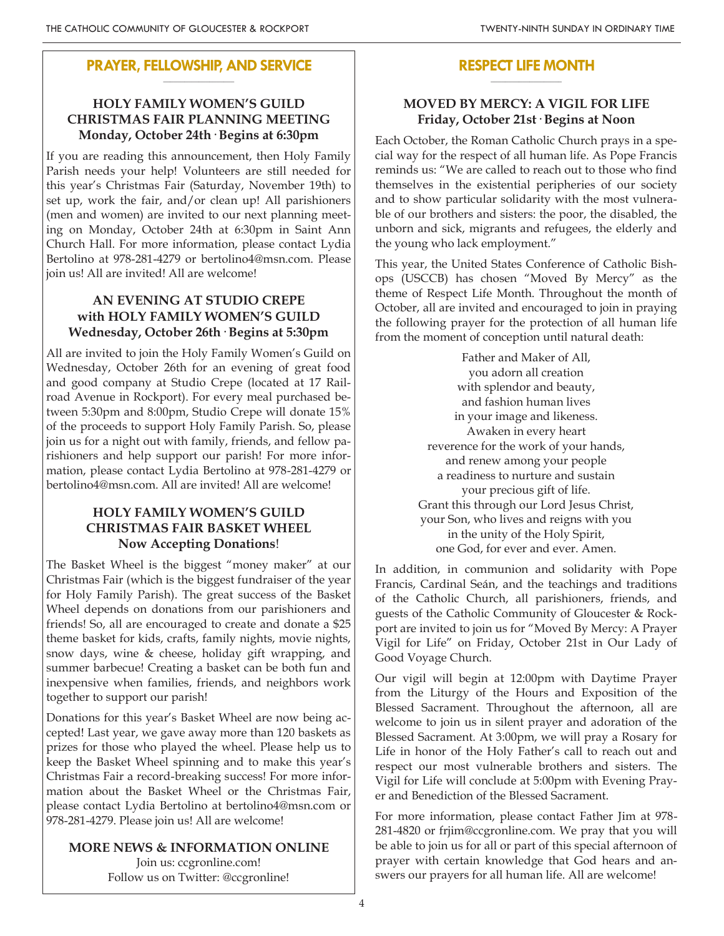### **PRAYER, FELLOWSHIP, AND SERVICE \_\_\_\_\_\_\_\_\_\_\_\_\_\_\_\_\_\_\_\_**

# **HOLY FAMILY WOMEN'S GUILD CHRISTMAS FAIR PLANNING MEETING Monday, October 24th· Begins at 6:30pm**

If you are reading this announcement, then Holy Family Parish needs your help! Volunteers are still needed for this year's Christmas Fair (Saturday, November 19th) to set up, work the fair, and/or clean up! All parishioners (men and women) are invited to our next planning meeting on Monday, October 24th at 6:30pm in Saint Ann Church Hall. For more information, please contact Lydia Bertolino at 978-281-4279 or bertolino4@msn.com. Please join us! All are invited! All are welcome!

# **AN EVENING AT STUDIO CREPE with HOLY FAMILY WOMEN'S GUILD Wednesday, October 26th· Begins at 5:30pm**

All are invited to join the Holy Family Women's Guild on Wednesday, October 26th for an evening of great food and good company at Studio Crepe (located at 17 Railroad Avenue in Rockport). For every meal purchased between 5:30pm and 8:00pm, Studio Crepe will donate 15% of the proceeds to support Holy Family Parish. So, please join us for a night out with family, friends, and fellow parishioners and help support our parish! For more information, please contact Lydia Bertolino at 978-281-4279 or bertolino4@msn.com. All are invited! All are welcome!

# **HOLY FAMILY WOMEN'S GUILD CHRISTMAS FAIR BASKET WHEEL Now Accepting Donations**!

The Basket Wheel is the biggest "money maker" at our Christmas Fair (which is the biggest fundraiser of the year for Holy Family Parish). The great success of the Basket Wheel depends on donations from our parishioners and friends! So, all are encouraged to create and donate a \$25 theme basket for kids, crafts, family nights, movie nights, snow days, wine & cheese, holiday gift wrapping, and summer barbecue! Creating a basket can be both fun and inexpensive when families, friends, and neighbors work together to support our parish!

Donations for this year's Basket Wheel are now being accepted! Last year, we gave away more than 120 baskets as prizes for those who played the wheel. Please help us to keep the Basket Wheel spinning and to make this year's Christmas Fair a record-breaking success! For more information about the Basket Wheel or the Christmas Fair, please contact Lydia Bertolino at bertolino4@msn.com or 978-281-4279. Please join us! All are welcome!

# **MORE NEWS & INFORMATION ONLINE**

Join us: ccgronline.com! Follow us on Twitter: @ccgronline!

### **RESPECT LIFE MONTH \_\_\_\_\_\_\_\_\_\_\_\_\_\_\_\_\_\_\_\_**

# **MOVED BY MERCY: A VIGIL FOR LIFE Friday, October 21st· Begins at Noon**

Each October, the Roman Catholic Church prays in a special way for the respect of all human life. As Pope Francis reminds us: "We are called to reach out to those who find themselves in the existential peripheries of our society and to show particular solidarity with the most vulnerable of our brothers and sisters: the poor, the disabled, the unborn and sick, migrants and refugees, the elderly and the young who lack employment."

This year, the United States Conference of Catholic Bishops (USCCB) has chosen "Moved By Mercy" as the theme of Respect Life Month. Throughout the month of October, all are invited and encouraged to join in praying the following prayer for the protection of all human life from the moment of conception until natural death:

> Father and Maker of All, you adorn all creation with splendor and beauty, and fashion human lives in your image and likeness. Awaken in every heart reverence for the work of your hands, and renew among your people a readiness to nurture and sustain your precious gift of life. Grant this through our Lord Jesus Christ, your Son, who lives and reigns with you in the unity of the Holy Spirit, one God, for ever and ever. Amen.

In addition, in communion and solidarity with Pope Francis, Cardinal Seán, and the teachings and traditions of the Catholic Church, all parishioners, friends, and guests of the Catholic Community of Gloucester & Rockport are invited to join us for "Moved By Mercy: A Prayer Vigil for Life" on Friday, October 21st in Our Lady of Good Voyage Church.

Our vigil will begin at 12:00pm with Daytime Prayer from the Liturgy of the Hours and Exposition of the Blessed Sacrament. Throughout the afternoon, all are welcome to join us in silent prayer and adoration of the Blessed Sacrament. At 3:00pm, we will pray a Rosary for Life in honor of the Holy Father's call to reach out and respect our most vulnerable brothers and sisters. The Vigil for Life will conclude at 5:00pm with Evening Prayer and Benediction of the Blessed Sacrament.

For more information, please contact Father Jim at 978- 281-4820 or frjim@ccgronline.com. We pray that you will be able to join us for all or part of this special afternoon of prayer with certain knowledge that God hears and answers our prayers for all human life. All are welcome!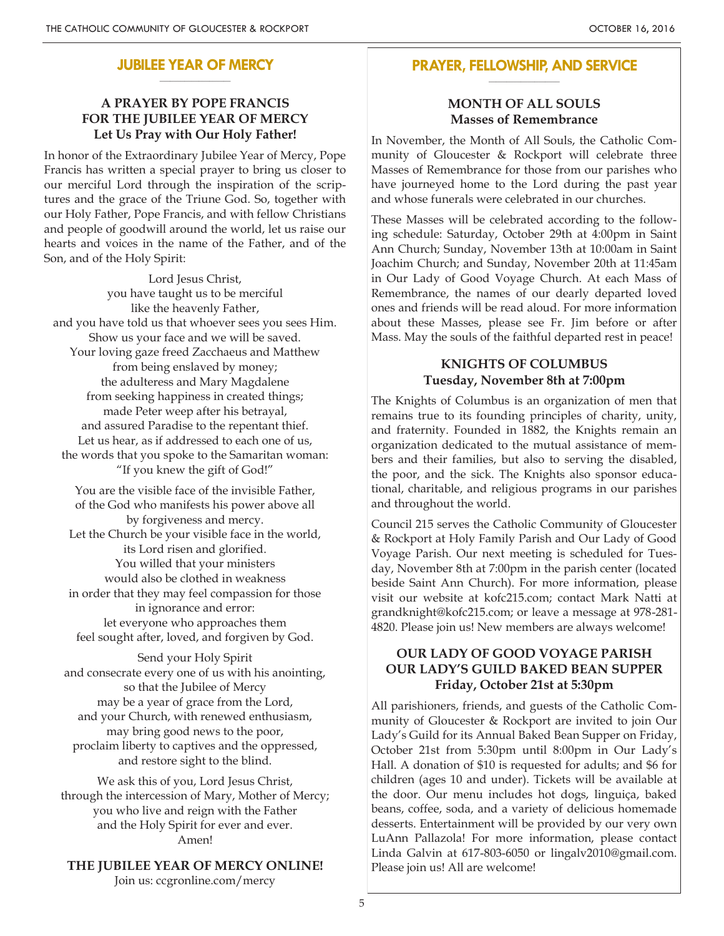#### **JUBILEE YEAR OF MERCY \_\_\_\_\_\_\_\_\_\_\_\_\_\_\_\_\_\_\_\_**

## **A PRAYER BY POPE FRANCIS FOR THE JUBILEE YEAR OF MERCY Let Us Pray with Our Holy Father!**

In honor of the Extraordinary Jubilee Year of Mercy, Pope Francis has written a special prayer to bring us closer to our merciful Lord through the inspiration of the scriptures and the grace of the Triune God. So, together with our Holy Father, Pope Francis, and with fellow Christians and people of goodwill around the world, let us raise our hearts and voices in the name of the Father, and of the Son, and of the Holy Spirit:

Lord Jesus Christ, you have taught us to be merciful like the heavenly Father, and you have told us that whoever sees you sees Him. Show us your face and we will be saved. Your loving gaze freed Zacchaeus and Matthew from being enslaved by money; the adulteress and Mary Magdalene from seeking happiness in created things; made Peter weep after his betrayal, and assured Paradise to the repentant thief. Let us hear, as if addressed to each one of us, the words that you spoke to the Samaritan woman: "If you knew the gift of God!"

You are the visible face of the invisible Father, of the God who manifests his power above all by forgiveness and mercy. Let the Church be your visible face in the world, its Lord risen and glorified. You willed that your ministers would also be clothed in weakness in order that they may feel compassion for those in ignorance and error: let everyone who approaches them feel sought after, loved, and forgiven by God.

Send your Holy Spirit and consecrate every one of us with his anointing, so that the Jubilee of Mercy may be a year of grace from the Lord, and your Church, with renewed enthusiasm, may bring good news to the poor, proclaim liberty to captives and the oppressed, and restore sight to the blind.

We ask this of you, Lord Jesus Christ, through the intercession of Mary, Mother of Mercy; you who live and reign with the Father and the Holy Spirit for ever and ever. Amen!

### **THE JUBILEE YEAR OF MERCY ONLINE!**

Join us: ccgronline.com/mercy

#### **PRAYER, FELLOWSHIP, AND SERVICE \_\_\_\_\_\_\_\_\_\_\_\_\_\_\_\_\_\_\_\_**

### **MONTH OF ALL SOULS Masses of Remembrance**

In November, the Month of All Souls, the Catholic Community of Gloucester & Rockport will celebrate three Masses of Remembrance for those from our parishes who have journeyed home to the Lord during the past year and whose funerals were celebrated in our churches.

These Masses will be celebrated according to the following schedule: Saturday, October 29th at 4:00pm in Saint Ann Church; Sunday, November 13th at 10:00am in Saint Joachim Church; and Sunday, November 20th at 11:45am in Our Lady of Good Voyage Church. At each Mass of Remembrance, the names of our dearly departed loved ones and friends will be read aloud. For more information about these Masses, please see Fr. Jim before or after Mass. May the souls of the faithful departed rest in peace!

### **KNIGHTS OF COLUMBUS Tuesday, November 8th at 7:00pm**

The Knights of Columbus is an organization of men that remains true to its founding principles of charity, unity, and fraternity. Founded in 1882, the Knights remain an organization dedicated to the mutual assistance of members and their families, but also to serving the disabled, the poor, and the sick. The Knights also sponsor educational, charitable, and religious programs in our parishes and throughout the world.

Council 215 serves the Catholic Community of Gloucester & Rockport at Holy Family Parish and Our Lady of Good Voyage Parish. Our next meeting is scheduled for Tuesday, November 8th at 7:00pm in the parish center (located beside Saint Ann Church). For more information, please visit our website at kofc215.com; contact Mark Natti at grandknight@kofc215.com; or leave a message at 978-281- 4820. Please join us! New members are always welcome!

### **OUR LADY OF GOOD VOYAGE PARISH OUR LADY'S GUILD BAKED BEAN SUPPER Friday, October 21st at 5:30pm**

All parishioners, friends, and guests of the Catholic Community of Gloucester & Rockport are invited to join Our Lady's Guild for its Annual Baked Bean Supper on Friday, October 21st from 5:30pm until 8:00pm in Our Lady's Hall. A donation of \$10 is requested for adults; and \$6 for children (ages 10 and under). Tickets will be available at the door. Our menu includes hot dogs, linguiça, baked beans, coffee, soda, and a variety of delicious homemade desserts. Entertainment will be provided by our very own LuAnn Pallazola! For more information, please contact Linda Galvin at 617-803-6050 or lingalv2010@gmail.com. Please join us! All are welcome!